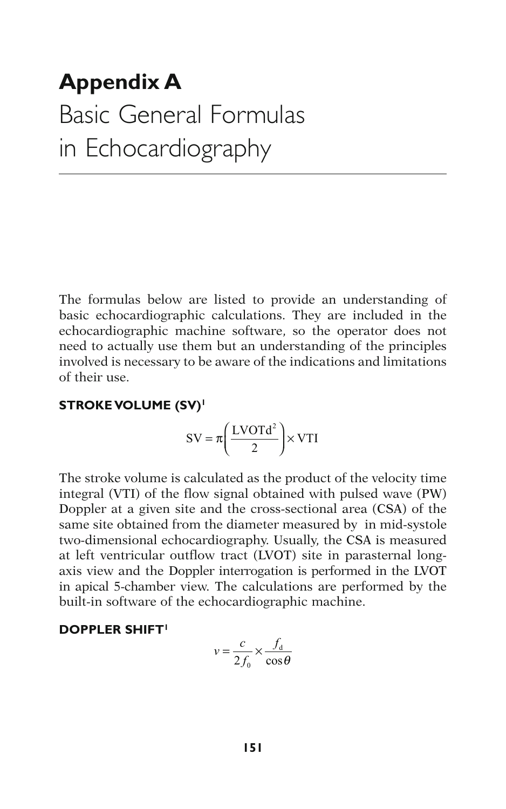# **Appendix A**  Basic General Formulas in Echocardiography

The formulas below are listed to provide an understanding of basic echocardiographic calculations. They are included in the echocardiographic machine software, so the operator does not need to actually use them but an understanding of the principles involved is necessary to be aware of the indications and limitations of their use.

#### **STROKE VOLUME (SV) 1**

$$
SV = \pi \left(\frac{LVOTd^2}{2}\right) \times VTI
$$

The stroke volume is calculated as the product of the velocity time integral (VTI) of the flow signal obtained with pulsed wave (PW) Doppler at a given site and the cross-sectional area (CSA) of the same site obtained from the diameter measured by in mid-systole two-dimensional echocardiography. Usually, the CSA is measured at left ventricular outflow tract (LVOT) site in parasternal longaxis view and the Doppler interrogation is performed in the LVOT in apical 5-chamber view. The calculations are performed by the built-in software of the echocardiographic machine.

#### **DOPPLER SHIFT1**

$$
v = \frac{c}{2f_0} \times \frac{f_d}{\cos \theta}
$$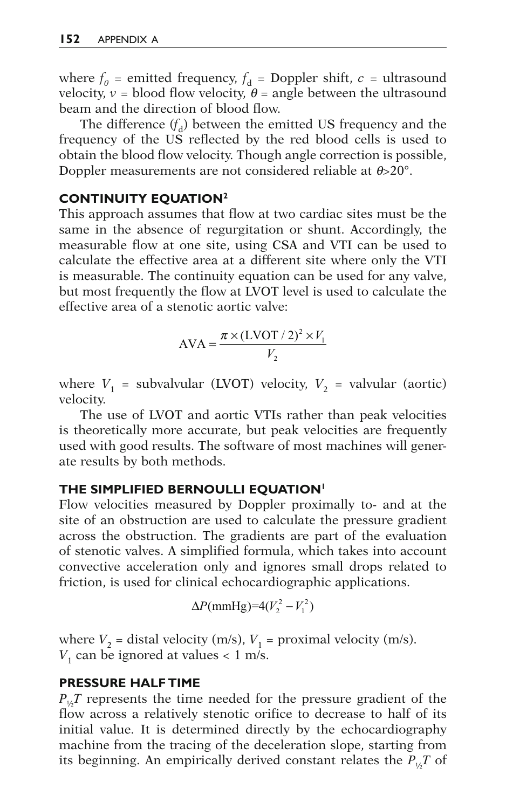where  $f_0$  = emitted frequency,  $f_d$  = Doppler shift,  $c$  = ultrasound velocity,  $v =$  blood flow velocity,  $\theta =$  angle between the ultrasound beam and the direction of blood flow.

The difference  $(f_d)$  between the emitted US frequency and the frequency of the US reflected by the red blood cells is used to obtain the blood flow velocity. Though angle correction is possible, Doppler measurements are not considered reliable at *q*>20°.

### **CONTINUITY EQUATION**<sup>2</sup>

This approach assumes that flow at two cardiac sites must be the same in the absence of regurgitation or shunt. Accordingly, the measurable flow at one site, using CSA and VTI can be used to calculate the effective area at a different site where only the VTI is measurable. The continuity equation can be used for any valve, but most frequently the flow at LVOT level is used to calculate the effective area of a stenotic aortic valve:

$$
AVA = \frac{\pi \times (LVOT / 2)^2 \times V_1}{V_2}
$$

where  $V_1$  = subvalvular (LVOT) velocity,  $V_2$  = valvular (aortic) velocity.

The use of LVOT and aortic VTIs rather than peak velocities is theoretically more accurate, but peak velocities are frequently used with good results. The software of most machines will generate results by both methods.

# **THE SIMPLIFIED BERNOULLI EQUATION 1**

Flow velocities measured by Doppler proximally to- and at the site of an obstruction are used to calculate the pressure gradient across the obstruction. The gradients are part of the evaluation of stenotic valves. A simplified formula, which takes into account convective acceleration only and ignores small drops related to friction, is used for clinical echocardiographic applications.

$$
\Delta P(\text{mmHg}) = 4(V_2^2 - V_1^2)
$$

where  $V_2$  = distal velocity (m/s),  $V_1$  = proximal velocity (m/s).  $V_1$  can be ignored at values  $< 1$  m/s.

#### **PRESSURE HALF TIME**

 $P_{\mu}T$  represents the time needed for the pressure gradient of the flow across a relatively stenotic orifice to decrease to half of its initial value. It is determined directly by the echocardiography machine from the tracing of the deceleration slope, starting from its beginning. An empirically derived constant relates the  $P_{\mu}T$  of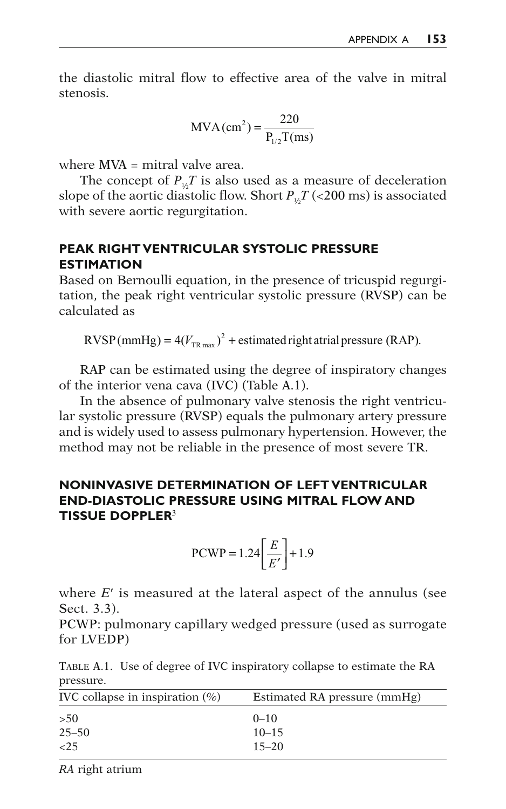the diastolic mitral flow to effective area of the valve in mitral stenosis.

$$
MVA(cm2) = \frac{220}{P1/2 T(ms)}
$$

where MVA = mitral valve area.

The concept of  $P_{\mu}T$  is also used as a measure of deceleration slope of the aortic diastolic flow. Short  $P_{\mu}T$  (<200 ms) is associated with severe aortic regurgitation.

### **PEAK RIGHT VENTRICULAR SYSTOLIC PRESSURE ESTIMATION**

Based on Bernoulli equation, in the presence of tricuspid regurgitation, the peak right ventricular systolic pressure (RVSP) can be calculated as

 $RVSP(mmHg) = 4(V_{TR max})^2 +$  estimated right atrial pressure (RAP).

RAP can be estimated using the degree of inspiratory changes of the interior vena cava (IVC) (Table A.1 ).

In the absence of pulmonary valve stenosis the right ventricular systolic pressure (RVSP) equals the pulmonary artery pressure and is widely used to assess pulmonary hypertension. However, the method may not be reliable in the presence of most severe TR.

### **NONINVASIVE DETERMINATION OF LEFT VENTRICULAR END-DIASTOLIC PRESSURE USING MITRAL FLOW AND TISSUE DOPPLER<sup>3</sup>**

$$
PCWP = 1.24 \left[ \frac{E}{E'} \right] + 1.9
$$

where *E'* is measured at the lateral aspect of the annulus (see Sect. 3.3).

PCWP: pulmonary capillary wedged pressure (used as surrogate for LVEDP)

TABLE A.1. Use of degree of IVC inspiratory collapse to estimate the RA pressure.

| IVC collapse in inspiration $(\%)$ | Estimated RA pressure (mmHg) |
|------------------------------------|------------------------------|
| >50                                | $0 - 10$                     |
| $25 - 50$                          | $10 - 15$                    |
| ${<}25$                            | $15 - 20$                    |
|                                    |                              |

*RA* right atrium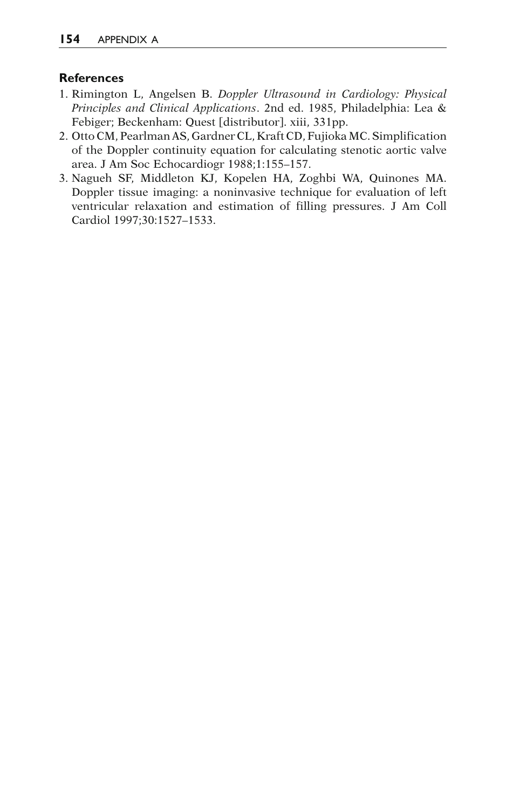#### **References**

- 1. Rimington L , Angelsen B . *Doppler Ultrasound in Cardiology: Physical*  Principles and Clinical Applications. 2nd ed. 1985, Philadelphia: Lea & Febiger; Beckenham: Quest [distributor]. xiii, 331pp.
- 2. Otto CM, Pearlman AS, Gardner CL, Kraft CD, Fujioka MC. Simplification of the Doppler continuity equation for calculating stenotic aortic valve area. J Am Soc Echocardiogr 1988;1:155–157.
- 3. Nagueh SF, Middleton KJ, Kopelen HA, Zoghbi WA, Quinones MA. Doppler tissue imaging: a noninvasive technique for evaluation of left ventricular relaxation and estimation of filling pressures. J Am Coll Cardiol 1997;30:1527–1533.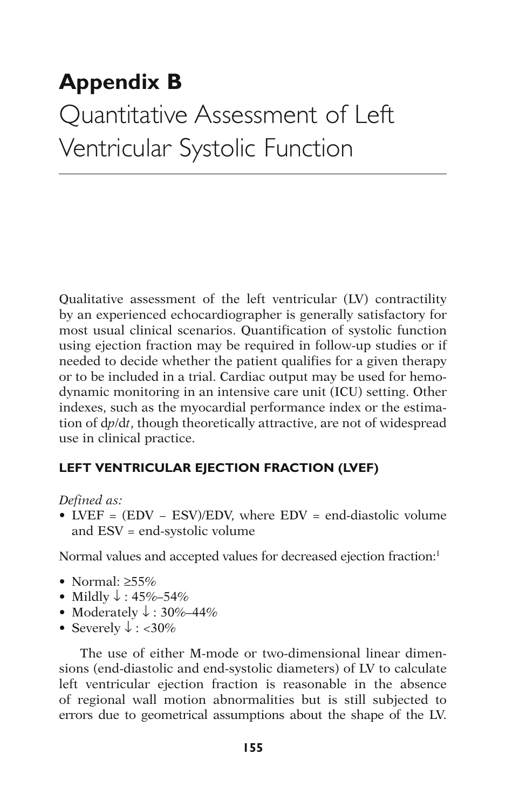# **Appendix B**  Quantitative Assessment of Left Ventricular Systolic Function

Qualitative assessment of the left ventricular (LV) contractility by an experienced echocardiographer is generally satisfactory for most usual clinical scenarios. Quantification of systolic function using ejection fraction may be required in follow-up studies or if needed to decide whether the patient qualifies for a given therapy or to be included in a trial. Cardiac output may be used for hemodynamic monitoring in an intensive care unit (ICU) setting. Other indexes, such as the myocardial performance index or the estimation of  $dp/dt$ , though theoretically attractive, are not of widespread use in clinical practice .

# **LEFT VENTRICULAR EJECTION FRACTION (LVEF)**

#### *Defined as:*

• LVEF = (EDV − ESV)/EDV, where EDV = end-diastolic volume and ESV = end-systolic volume

Normal values and accepted values for decreased ejection fraction:<sup>1</sup>

- Normal:  $\geq 55\%$
- Mildly  $\downarrow$  : 45%–54%
- Moderately  $\downarrow$  : 30%–44%
- Severely  $\downarrow$  : <30%

The use of either M-mode or two-dimensional linear dimensions (end-diastolic and end-systolic diameters) of LV to calculate left ventricular ejection fraction is reasonable in the absence of regional wall motion abnormalities but is still subjected to errors due to geometrical assumptions about the shape of the LV.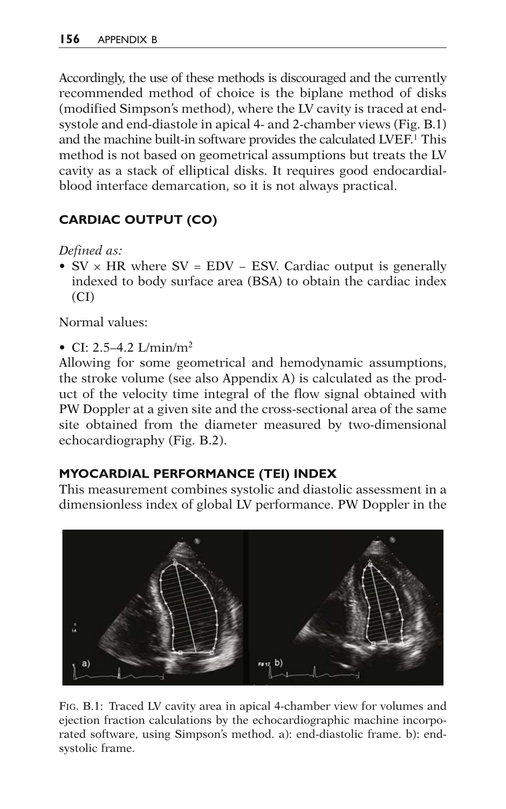Accordingly, the use of these methods is discouraged and the currently recommended method of choice is the biplane method of disks (modified Simpson's method), where the LV cavity is traced at endsystole and end-diastole in apical 4- and 2-chamber views (Fig. B.1) and the machine built-in software provides the calculated LVEF.<sup>1</sup> This method is not based on geometrical assumptions but treats the LV cavity as a stack of elliptical disks. It requires good endocardialblood interface demarcation, so it is not always practical.

# **CARDIAC OUTPUT (CO)**

*Defined as:*

•  $SV \times HR$  where  $SV = EDV - ESV$ . Cardiac output is generally indexed to body surface area (BSA) to obtain the cardiac index  $(CI)$ 

Normal values:

• CI:  $2.5-4.2$  L/min/m<sup>2</sup>

Allowing for some geometrical and hemodynamic assumptions, the stroke volume (see also Appendix A) is calculated as the product of the velocity time integral of the flow signal obtained with PW Doppler at a given site and the cross-sectional area of the same site obtained from the diameter measured by two-dimensional echocardiography (Fig. B.2).

# **MYOCARDIAL PERFORMANCE (TEI) INDEX**

This measurement combines systolic and diastolic assessment in a dimensionless index of global LV performance. PW Doppler in the



FIG. B.1: Traced LV cavity area in apical 4-chamber view for volumes and ejection fraction calculations by the echocardiographic machine incorporated software, using Simpson's method. a): end-diastolic frame. b): endsystolic frame.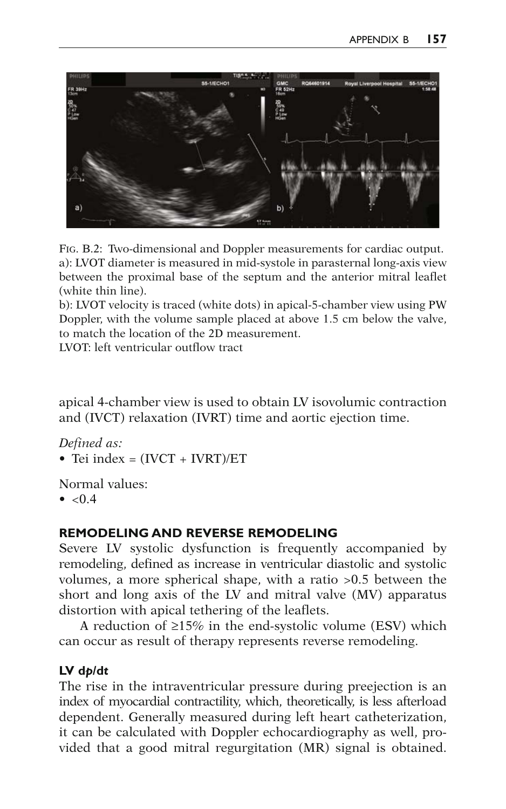

FIG. B.2: Two-dimensional and Doppler measurements for cardiac output. a): LVOT diameter is measured in mid-systole in parasternal long-axis view between the proximal base of the septum and the anterior mitral leaflet (white thin line).

b): LVOT velocity is traced (white dots) in apical-5-chamber view using PW Doppler, with the volume sample placed at above 1.5 cm below the valve, to match the location of the 2D measurement.

LVOT: left ventricular outflow tract

apical 4-chamber view is used to obtain LV isovolumic contraction and (IVCT) relaxation (IVRT) time and aortic ejection time.

*Defined as:*

• Tei index  $=$   $(IVCT + IVRT)/ET$ 

Normal values:

•  $< 0.4$ 

# **REMODELING AND REVERSE REMODELING**

Severe LV systolic dysfunction is frequently accompanied by remodeling, defined as increase in ventricular diastolic and systolic volumes, a more spherical shape, with a ratio >0.5 between the short and long axis of the LV and mitral valve (MV) apparatus distortion with apical tethering of the leaflets.

A reduction of  $\geq$ 15% in the end-systolic volume (ESV) which can occur as result of therapy represents reverse remodeling.

# **LV** dp/dt

The rise in the intraventricular pressure during preejection is an index of myocardial contractility, which, theoretically, is less afterload dependent. Generally measured during left heart catheterization, it can be calculated with Doppler echocardiography as well, provided that a good mitral regurgitation (MR) signal is obtained.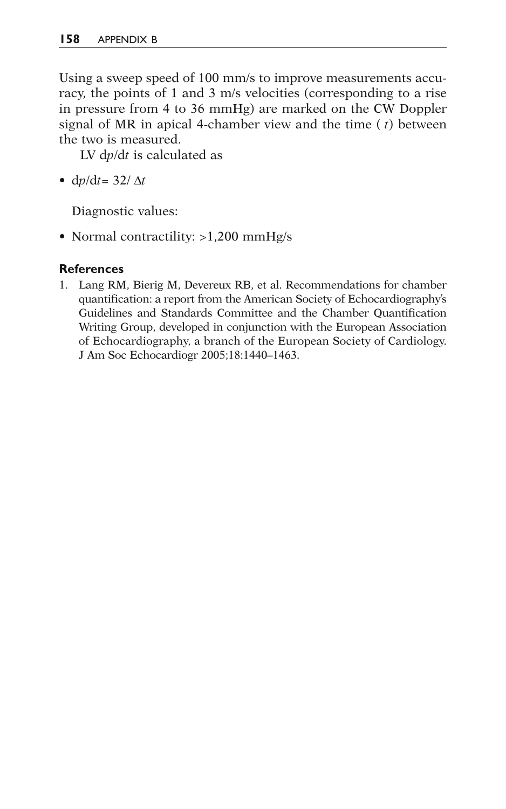Using a sweep speed of 100 mm/s to improve measurements accuracy, the points of 1 and 3 m/s velocities (corresponding to a rise in pressure from 4 to 36 mmHg) are marked on the CW Doppler signal of MR in apical 4-chamber view and the time ( *t*) between the two is measured.

LV dp/dt is calculated as

• d $p/dt = 32/\Delta t$ 

Diagnostic values:

• Normal contractility: >1,200 mmHg/s

### **References**

1. Lang RM, Bierig M, Devereux RB, et al. Recommendations for chamber quantification: a report from the American Society of Echocardiography's Guidelines and Standards Committee and the Chamber Quantification Writing Group, developed in conjunction with the European Association of Echocardiography, a branch of the European Society of Cardiology. J Am Soc Echocardiogr 2005;18:1440–1463.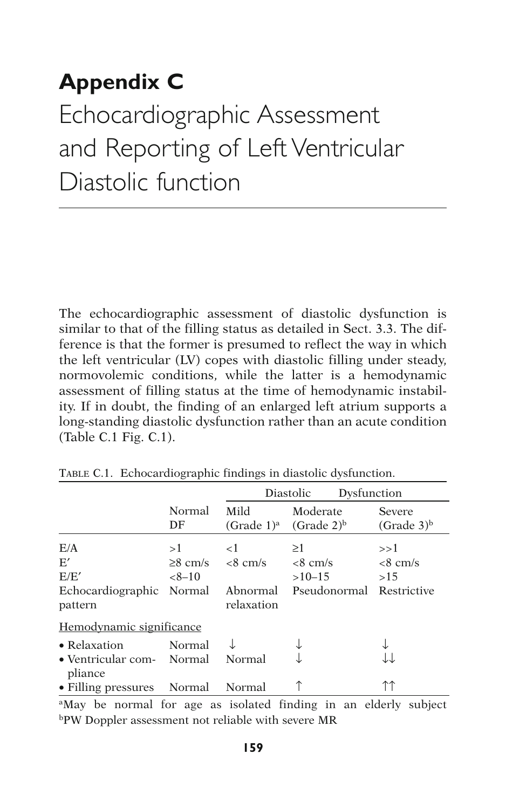# **Appendix C**  Echocardiographic Assessment and Reporting of Left Ventricular Diastolic function

The echocardiographic assessment of diastolic dysfunction is similar to that of the filling status as detailed in Sect. 3.3. The difference is that the former is presumed to reflect the way in which the left ventricular (LV) copes with diastolic filling under steady, normovolemic conditions, while the latter is a hemodynamic assessment of filling status at the time of hemodynamic instability. If in doubt, the finding of an enlarged left atrium supports a long-standing diastolic dysfunction rather than an acute condition (Table C.1 Fig.  $C.1$ ).

|                                                                               |              |                                        | Diastolic<br>Dysfunction              |                                              |
|-------------------------------------------------------------------------------|--------------|----------------------------------------|---------------------------------------|----------------------------------------------|
|                                                                               | Normal<br>DF | Mild                                   | Moderate<br>$(Grade 1)a$ $(Grade 2)b$ | Severe<br>(Grade <sub>3</sub> ) <sup>b</sup> |
| E/A<br>E'                                                                     | >1           | $\leq$ 1<br>$\geq$ 8 cm/s $\lt$ 8 cm/s | $\geq$ 1<br>$\langle 8 \text{ cm/s}$  | >>1<br>$<8$ cm/s                             |
| E/E'<br>Echocardiographic Normal Abnormal Pseudonormal Restrictive<br>pattern | $<8-10$      | relaxation                             | $>10-15$                              | >15                                          |
| Hemodynamic significance                                                      |              |                                        |                                       |                                              |
| • Relaxation<br>• Ventricular com- Normal                                     | Normal       | Normal                                 |                                       |                                              |
| pliance<br>• Filling pressures Normal                                         |              | Normal                                 |                                       |                                              |

TABLE C.1. Echocardiographic findings in diastolic dysfunction .

<sup>a</sup>May be normal for age as isolated finding in an elderly subject bPW Doppler assessment not reliable with severe MR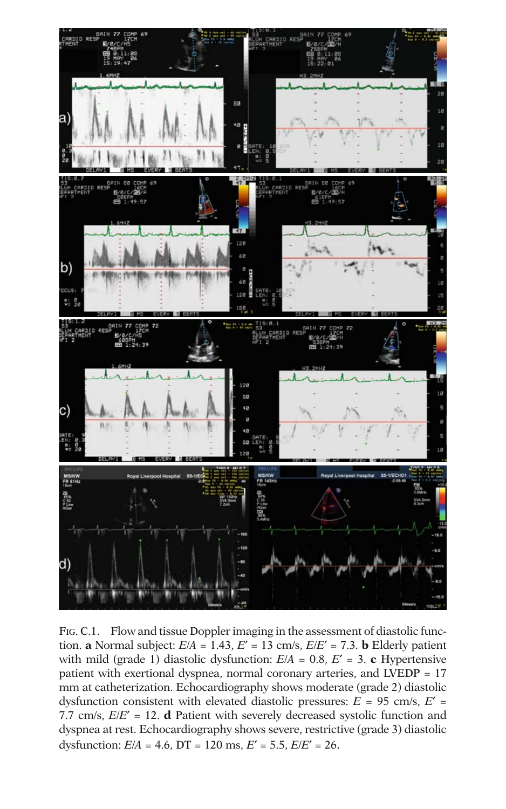

FIG. C.1. Flow and tissue Doppler imaging in the assessment of diastolic function. **a** Normal subject:  $E/A = 1.43$ ,  $E' = 13$  cm/s,  $E/E' = 7.3$ . **b** Elderly patient with mild (grade 1) diastolic dysfunction:  $E/A = 0.8$ ,  $E' = 3$ . **c** Hypertensive patient with exertional dyspnea, normal coronary arteries, and LVEDP = 17 mm at catheterization. Echocardiography shows moderate (grade 2) diastolic dysfunction consistent with elevated diastolic pressures:  $E = 95$  cm/s,  $E' =$ 7.7 cm/s,  $E/E' = 12$ . **d** Patient with severely decreased systolic function and dyspnea at rest. Echocardiography shows severe, restrictive (grade 3) diastolic dysfunction:  $E/A = 4.6$ ,  $DT = 120$  ms,  $E' = 5.5$ ,  $E/E' = 26$ .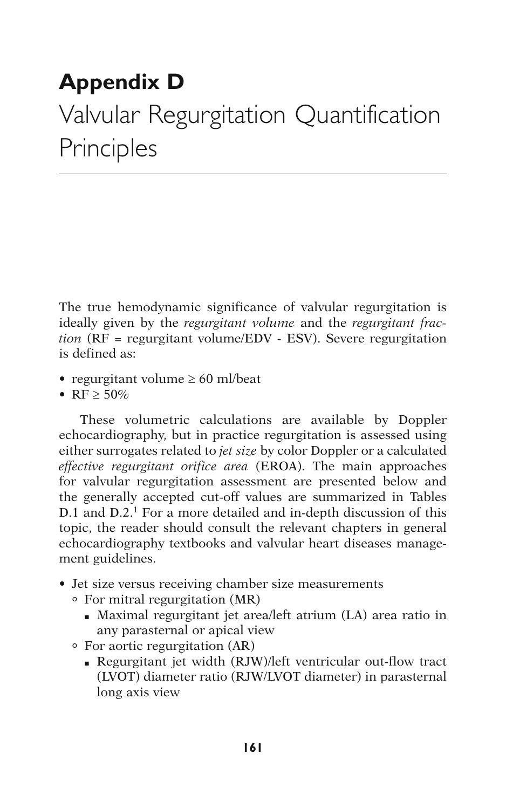# **Appendix D**  Valvular Regurgitation Quantification Principles

The true hemodynamic significance of valvular regurgitation is ideally given by the *regurgitant volume* and the *regurgitant fraction* (RF = regurgitant volume/EDV - ESV). Severe regurgitation is defined as:

- regurgitant volume  $\geq 60$  ml/beat
- RF  $\geq 50\%$

These volumetric calculations are available by Doppler echocardiography, but in practice regurgitation is assessed using either surrogates related to *jet size* by color Doppler or a calculated *effective regurgitant orifice area* (EROA). The main approaches for valvular regurgitation assessment are presented below and the generally accepted cut-off values are summarized in Tables D.1 and D.2.<sup>1</sup> For a more detailed and in-depth discussion of this topic, the reader should consult the relevant chapters in general echocardiography textbooks and valvular heart diseases management guidelines.

- Jet size versus receiving chamber size measurements
	- ° For mitral regurgitation (MR)
		- Maximal regurgitant jet area/left atrium (LA) area ratio in any parasternal or apical view
	- ° For aortic regurgitation (AR)
		- Regurgitant jet width (RJW)/left ventricular out-flow tract (LVOT) diameter ratio (RJW/LVOT diameter) in parasternal long axis view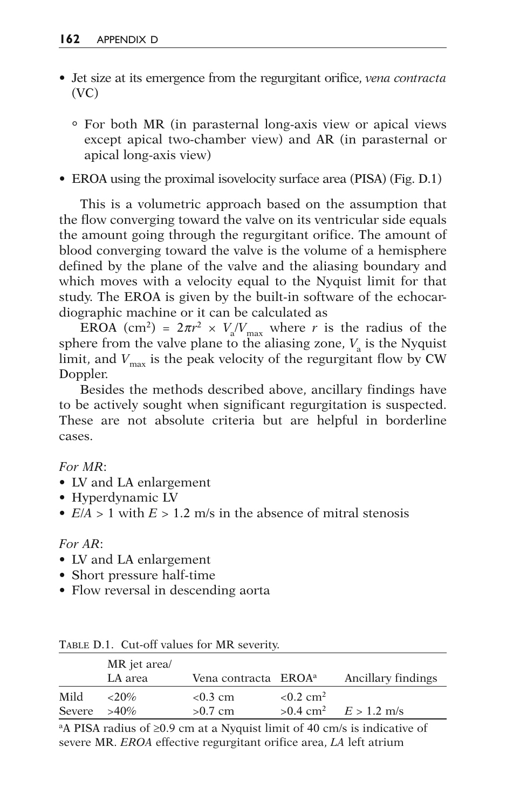- Jet size at its emergence from the regurgitant orifice, *vena contracta*  (VC)
	- ° For both MR (in parasternal long-axis view or apical views except apical two-chamber view) and AR (in parasternal or apical long-axis view)
- EROA using the proximal isovelocity surface area (PISA) (Fig. D.1)

This is a volumetric approach based on the assumption that the flow converging toward the valve on its ventricular side equals the amount going through the regurgitant orifice. The amount of blood converging toward the valve is the volume of a hemisphere defined by the plane of the valve and the aliasing boundary and which moves with a velocity equal to the Nyquist limit for that study. The EROA is given by the built-in software of the echocardiographic machine or it can be calculated as

EROA (cm<sup>2</sup>) =  $2\pi r^2 \times V_a/V_{\text{max}}$  where *r* is the radius of the sphere from the valve plane to the aliasing zone,  $V_a$  is the Nyquist limit, and  $V_{\text{max}}$  is the peak velocity of the regurgitant flow by CW Doppler.

Besides the methods described above, ancillary findings have to be actively sought when significant regurgitation is suspected. These are not absolute criteria but are helpful in borderline cases.

*For MR*:

- LV and LA enlargement
- Hyperdynamic LV
- $E/A > 1$  with  $E > 1.2$  m/s in the absence of mitral stenosis

#### *For AR*:

- LV and LA enlargement
- Short pressure half-time
- Flow reversal in descending aorta

|                        | MR jet area/<br>LA area | Vena contracta EROA <sup>a</sup> |                         | Ancillary findings                   |
|------------------------|-------------------------|----------------------------------|-------------------------|--------------------------------------|
| Mild<br>Severe $>40\%$ | $< 20\%$                | $< 0.3$ cm<br>$>0.7$ cm          | $< 0.2$ cm <sup>2</sup> | $>0.4$ cm <sup>2</sup> $E > 1.2$ m/s |

TABLE D.1. Cut-off values for MR severity.

<sup>a</sup>A PISA radius of  $\geq 0.9$  cm at a Nyquist limit of 40 cm/s is indicative of severe MR. *EROA* effective regurgitant orifice area, *LA* left atrium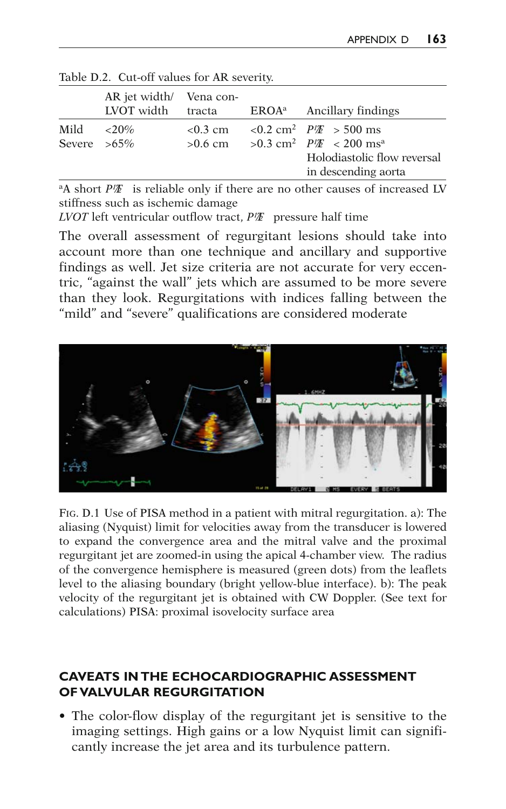|                        | AR jet width/ Vena con-<br>LVOT width | tracta                  | $EROAa$ Ancillary findings                                                                                                                               |
|------------------------|---------------------------------------|-------------------------|----------------------------------------------------------------------------------------------------------------------------------------------------------|
| Mild<br>Severe $>65\%$ | ${<}20\%$                             | $< 0.3$ cm<br>$>0.6$ cm | $0.2$ cm <sup>2</sup> $P/E > 500$ ms<br>>0.3 cm <sup>2</sup> $PI\mathcal{F}$ < 200 ms <sup>a</sup><br>Holodiastolic flow reversal<br>in descending aorta |

Table D.2. Cut-off values for AR severity.

<sup>a</sup>A short *P<sup>I</sup>I* is reliable only if there are no other causes of increased LV stiffness such as ischemic damage

*LVOT* left ventricular outflow tract, *P½T* pressure half time

The overall assessment of regurgitant lesions should take into account more than one technique and ancillary and supportive findings as well. Jet size criteria are not accurate for very eccentric, "against the wall" jets which are assumed to be more severe than they look. Regurgitations with indices falling between the "mild" and "severe" qualifications are considered moderate



FIG. D.1 Use of PISA method in a patient with mitral regurgitation. a): The aliasing (Nyquist) limit for velocities away from the transducer is lowered to expand the convergence area and the mitral valve and the proximal regurgitant jet are zoomed-in using the apical 4-chamber view. The radius of the convergence hemisphere is measured (green dots) from the leaflets level to the aliasing boundary (bright yellow-blue interface). b): The peak velocity of the regurgitant jet is obtained with CW Doppler. (See text for calculations) PISA: proximal isovelocity surface area

# **CAVEATS IN THE ECHOCARDIOGRAPHIC ASSESSMENT OF VALVULAR REGURGITATION**

• The color-flow display of the regurgitant jet is sensitive to the imaging settings. High gains or a low Nyquist limit can significantly increase the jet area and its turbulence pattern.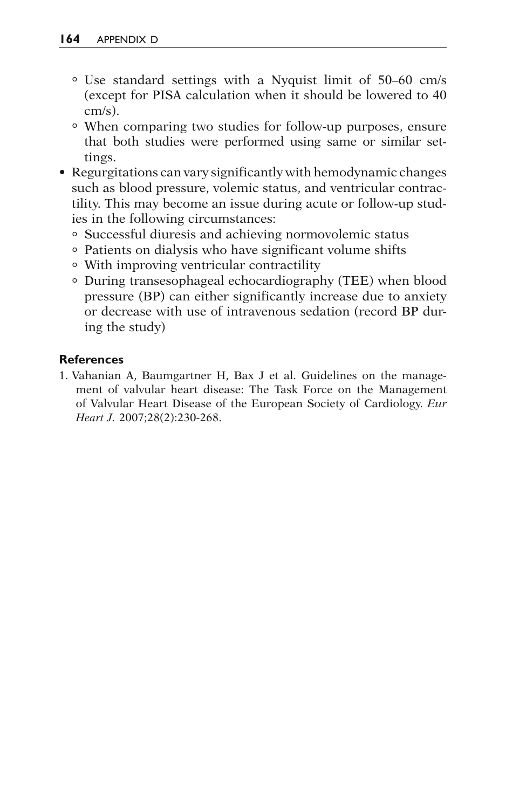- ° Use standard settings with a Nyquist limit of 50–60 cm/s (except for PISA calculation when it should be lowered to 40 cm/s).
- ° When comparing two studies for follow-up purposes, ensure that both studies were performed using same or similar settings.
- Regurgitations can vary significantly with hemodynamic changes such as blood pressure, volemic status, and ventricular contractility. This may become an issue during acute or follow-up studies in the following circumstances:
	- ° Successful diuresis and achieving normovolemic status
	- ° Patients on dialysis who have significant volume shifts
	- ° With improving ventricular contractility
	- ° During transesophageal echocardiography (TEE) when blood pressure (BP) can either significantly increase due to anxiety or decrease with use of intravenous sedation (record BP during the study)

### **References**

1. Vahanian A, Baumgartner H, Bax J et al. Guidelines on the management of valvular heart disease: The Task Force on the Management of Valvular Heart Disease of the European Society of Cardiology . *Eur*  Heart J. 2007;28(2):230-268.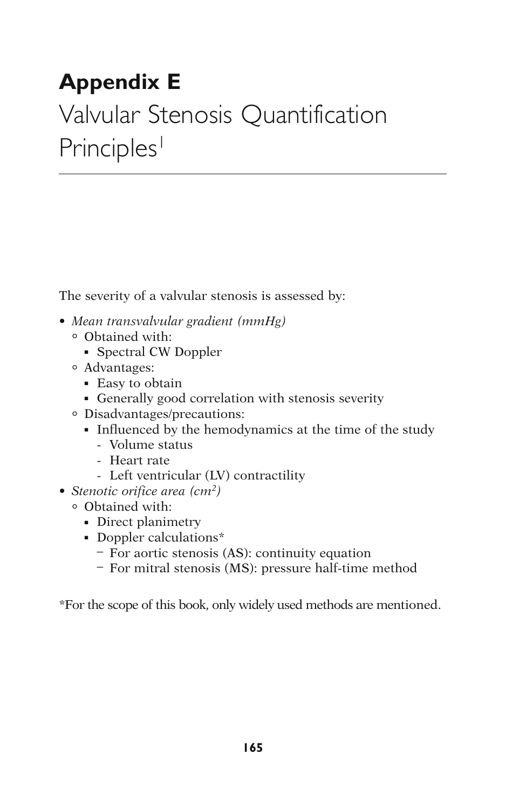# **Appendix E**

# Valvular Stenosis Quantification Principles<sup>1</sup>

The severity of a valvular stenosis is assessed by:

- *Mean transvalvular gradient (mmHg)*
	- ° Obtained with:
		- Spectral CW Doppler
	- ° Advantages:
		- Easy to obtain
		- Generally good correlation with stenosis severity
	- ° Disadvantages/precautions:
		- Influenced by the hemodynamics at the time of the study
			- Volume status
			- Heart rate
			- Left ventricular (LV) contractility
- *Stenotic orifice area (cm2)*
	- ° Obtained with:
		- Direct planimetry
		- Doppler calculations\*
			- For aortic stenosis (AS): continuity equation
			- For mitral stenosis (MS): pressure half-time method

\*For the scope of this book, only widely used methods are mentioned.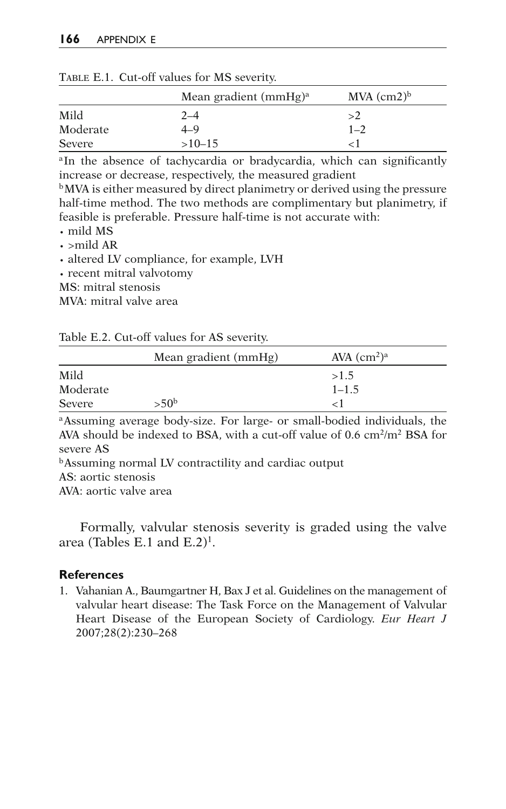|          | Mean gradient $(mmHg)a$ | $MVA$ (cm2) <sup>b</sup> |
|----------|-------------------------|--------------------------|
| Mild     | $2 - 4$                 | >2                       |
| Moderate | 4–9                     | $1 - 2$                  |
| Severe   | $>10-15$                |                          |

TABLE E.1. Cut-off values for MS severity.

<sup>a</sup>In the absence of tachycardia or bradycardia, which can significantly increase or decrease, respectively, the measured gradient

b MVA is either measured by direct planimetry or derived using the pressure half-time method. The two methods are complimentary but planimetry, if feasible is preferable. Pressure half-time is not accurate with:

· mild MS

 $\cdot$  >mild AR

· altered LV compliance, for example, LVH

· recent mitral valvotomy

MS: mitral stenosis

MVA: mitral valve area

|          | Mean gradient (mmHg) | AVA $(cm2)a$ |
|----------|----------------------|--------------|
| Mild     |                      | >1.5         |
| Moderate |                      | $1 - 1.5$    |
| Severe   | >50 <sup>b</sup>     |              |

a Assuming average body-size. For large- or small-bodied individuals, the AVA should be indexed to BSA, with a cut-off value of 0.6 cm<sup>2</sup>/m<sup>2</sup> BSA for severe AS

b Assuming normal LV contractility and cardiac output

AS: aortic stenosis

AVA: aortic valve area

Formally, valvular stenosis severity is graded using the valve area (Tables E.1 and  $E.2$ )<sup>1</sup>.

#### **References**

1. Vahanian A., Baumgartner H, Bax J et al. Guidelines on the management of valvular heart disease: The Task Force on the Management of Valvular Heart Disease of the European Society of Cardiology . *Eur Heart J* 2007;28(2):230-268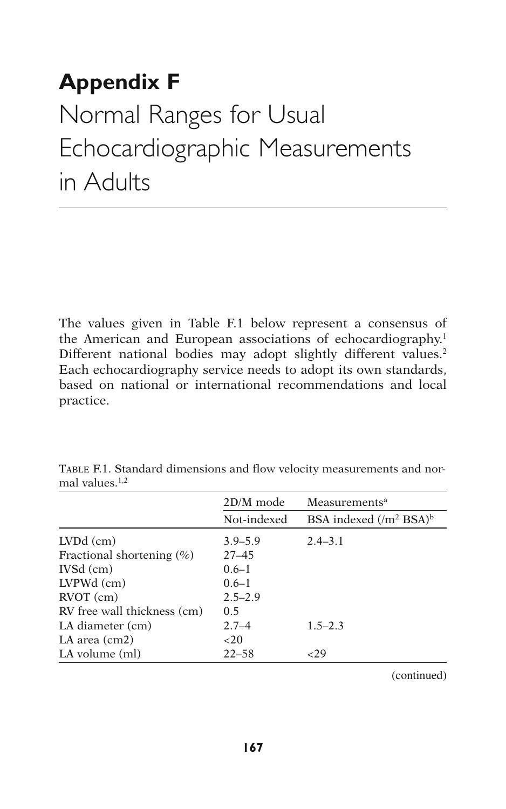# **Appendix F**  Normal Ranges for Usual Echocardiographic Measurements in Adults

The values given in Table F.1 below represent a consensus of the American and European associations of echocardiography.<sup>1</sup> Different national bodies may adopt slightly different values.<sup>2</sup> Each echocardiography service needs to adopt its own standards, based on national or international recommendations and local practice.

|                               | 2D/M mode   | Measurements <sup>a</sup>             |
|-------------------------------|-------------|---------------------------------------|
|                               | Not-indexed | BSA indexed $(/m^2$ BSA) <sup>b</sup> |
| $LVDd$ (cm)                   | $3.9 - 5.9$ | $2.4 - 3.1$                           |
| Fractional shortening $(\% )$ | $27 - 45$   |                                       |
| $IVSd$ (cm)                   | $0.6 - 1$   |                                       |
| $LVPWd$ (cm)                  | $0.6 - 1$   |                                       |
| $\text{RVOT}$ (cm)            | $2.5 - 2.9$ |                                       |
| RV free wall thickness (cm)   | 0.5         |                                       |
| LA diameter (cm)              | $2.7 - 4$   | $1.5 - 2.3$                           |
| LA area (cm2)                 | ${<}20$     |                                       |
| LA volume (ml)                | $22 - 58$   | 29ء                                   |

TABLE F.1. Standard dimensions and flow velocity measurements and normal values.<sup>1,2</sup>

(continued)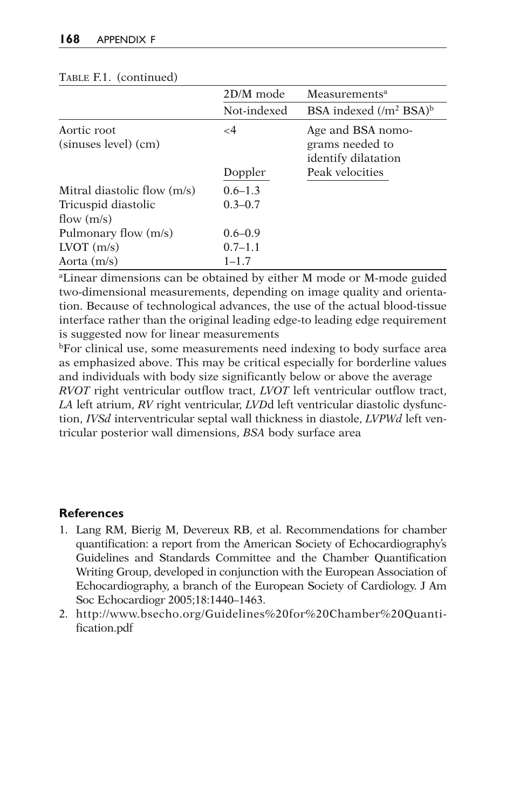| 2D/M mode   | Measurements <sup>a</sup>                                   |
|-------------|-------------------------------------------------------------|
| Not-indexed | BSA indexed $(/m2 BSA)b$                                    |
| $\leq$ 4    | Age and BSA nomo-<br>grams needed to<br>identify dilatation |
| Doppler     | Peak velocities                                             |
| $0.6 - 1.3$ |                                                             |
| $0.3 - 0.7$ |                                                             |
|             |                                                             |
| $0.6 - 0.9$ |                                                             |
| $0.7 - 1.1$ |                                                             |
| $1 - 1.7$   |                                                             |
|             |                                                             |

#### TABLE F.1. (continued)

aLinear dimensions can be obtained by either M mode or M-mode guided two-dimensional measurements, depending on image quality and orientation. Because of technological advances, the use of the actual blood-tissue interface rather than the original leading edge-to leading edge requirement is suggested now for linear measurements

b For clinical use, some measurements need indexing to body surface area as emphasized above. This may be critical especially for borderline values and individuals with body size significantly below or above the average *RVOT* right ventricular outflow tract, *LVOT* left ventricular outflow tract, *LA* left atrium, *RV* right ventricular, *LVD*d left ventricular diastolic dysfunc-

tion, *IVSd* interventricular septal wall thickness in diastole, *LVPWd* left ventricular posterior wall dimensions, *BSA* body surface area

#### **References**

- 1. Lang RM, Bierig M, Devereux RB, et al. Recommendations for chamber quantification: a report from the American Society of Echocardiography's Guidelines and Standards Committee and the Chamber Quantification Writing Group, developed in conjunction with the European Association of Echocardiography, a branch of the European Society of Cardiology. J Am Soc Echocardiogr 2005;18:1440–1463.
- 2. http://www.bsecho.org/Guidelines%20for%20Chamber%20Quantification.pdf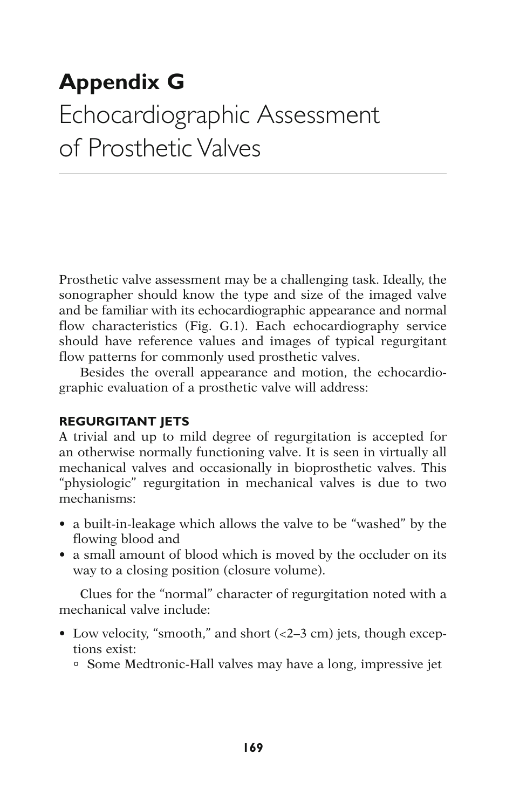# **Appendix G**  Echocardiographic Assessment of Prosthetic Valves

Prosthetic valve assessment may be a challenging task. Ideally, the sonographer should know the type and size of the imaged valve and be familiar with its echocardiographic appearance and normal flow characteristics (Fig. G.1 ). Each echocardiography service should have reference values and images of typical regurgitant flow patterns for commonly used prosthetic valves.

Besides the overall appearance and motion, the echocardiographic evaluation of a prosthetic valve will address:

# **REGURGITANT JETS**

A trivial and up to mild degree of regurgitation is accepted for an otherwise normally functioning valve. It is seen in virtually all mechanical valves and occasionally in bioprosthetic valves. This "physiologic" regurgitation in mechanical valves is due to two mechanisms:

- a built-in-leakage which allows the valve to be "washed" by the flowing blood and
- a small amount of blood which is moved by the occluder on its way to a closing position (closure volume).

Clues for the "normal" character of regurgitation noted with a mechanical valve include:

- Low velocity, "smooth," and short  $( $2-3$  cm) jets, though excep$ tions exist:
	- ° Some Medtronic-Hall valves may have a long, impressive jet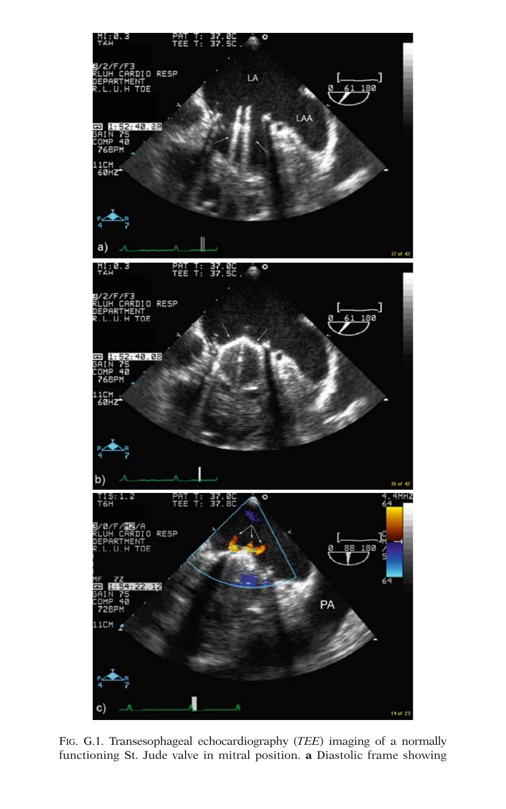

FIG. G.1. Transesophageal echocardiography (*TEE*) imaging of a normally functioning St. Jude valve in mitral position. **a** Diastolic frame showing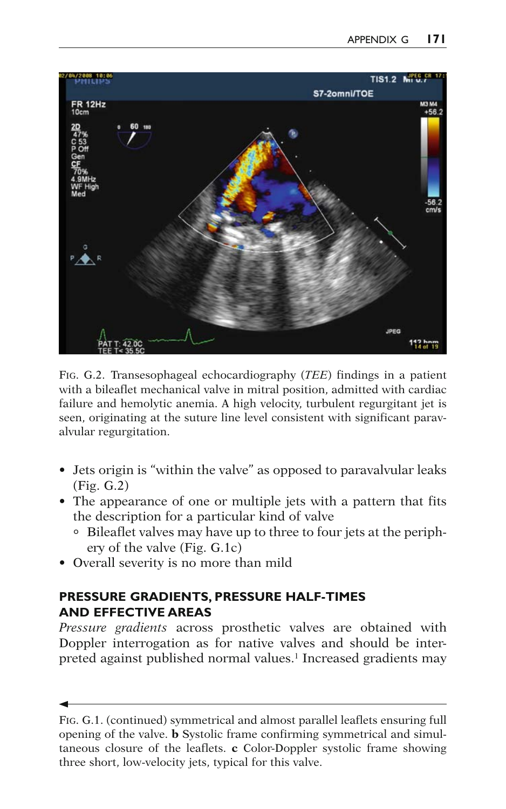

FIG. G.2.Transesophageal echocardiography ( *TEE*) findings in a patient with a bileaflet mechanical valve in mitral position, admitted with cardiac failure and hemolytic anemia. A high velocity, turbulent regurgitant jet is seen, originating at the suture line level consistent with significant paravalvular regurgitation.

- Jets origin is "within the valve" as opposed to paravalvular leaks (Fig. G.2 )
- The appearance of one or multiple jets with a pattern that fits the description for a particular kind of valve
	- ° Bileaflet valves may have up to three to four jets at the periphery of the valve (Fig. G.1c)
- Overall severity is no more than mild

# **PRESSURE GRADIENTS, PRESSURE HALF-TIMES AND EFFECTIVE AREAS**

*Pressure gradients* across prosthetic valves are obtained with Doppler interrogation as for native valves and should be interpreted against published normal values.<sup>1</sup> Increased gradients may

FIG. G.1. (continued) symmetrical and almost parallel leaflets ensuring full opening of the valve. **b** Systolic frame confirming symmetrical and simultaneous closure of the leaflets. **c** Color-Doppler systolic frame showing three short, low-velocity jets, typical for this valve.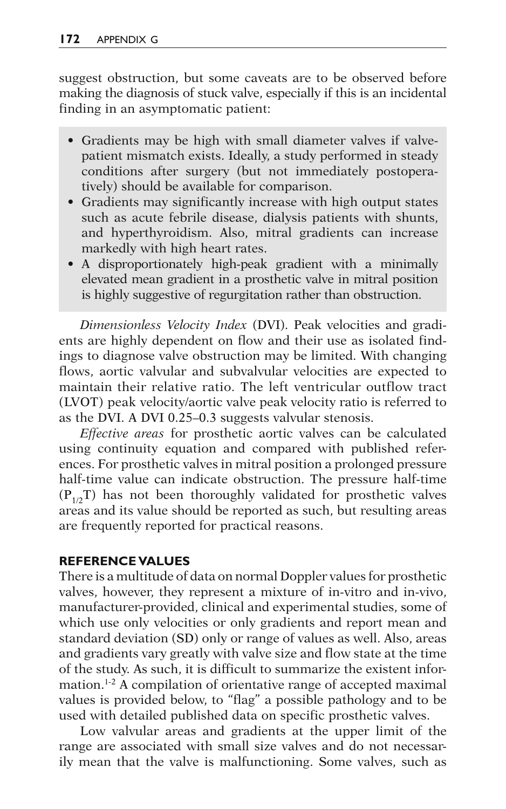suggest obstruction, but some caveats are to be observed before making the diagnosis of stuck valve, especially if this is an incidental finding in an asymptomatic patient:

- Gradients may be high with small diameter valves if valvepatient mismatch exists. Ideally, a study performed in steady conditions after surgery (but not immediately postoperatively) should be available for comparison.
- Gradients may significantly increase with high output states such as acute febrile disease, dialysis patients with shunts, and hyperthyroidism. Also, mitral gradients can increase markedly with high heart rates.
- A disproportionately high-peak gradient with a minimally elevated mean gradient in a prosthetic valve in mitral position is highly suggestive of regurgitation rather than obstruction.

*Dimensionless Velocity Index* (DVI). Peak velocities and gradients are highly dependent on flow and their use as isolated findings to diagnose valve obstruction may be limited. With changing flows, aortic valvular and subvalvular velocities are expected to maintain their relative ratio. The left ventricular outflow tract (LVOT) peak velocity/aortic valve peak velocity ratio is referred to as the DVI. A DVI 0.25–0.3 suggests valvular stenosis.

*Effective areas* for prosthetic aortic valves can be calculated using continuity equation and compared with published references. For prosthetic valves in mitral position a prolonged pressure half-time value can indicate obstruction. The pressure half-time  $(P_{1/2}T)$  has not been thoroughly validated for prosthetic valves areas and its value should be reported as such, but resulting areas are frequently reported for practical reasons.

#### **REFERENCE VALUES**

There is a multitude of data on normal Doppler values for prosthetic valves, however, they represent a mixture of in-vitro and in-vivo, manufacturer-provided, clinical and experimental studies, some of which use only velocities or only gradients and report mean and standard deviation (SD) only or range of values as well. Also, areas and gradients vary greatly with valve size and flow state at the time of the study. As such, it is difficult to summarize the existent information.<sup>1-2</sup> A compilation of orientative range of accepted maximal values is provided below, to "flag" a possible pathology and to be used with detailed published data on specific prosthetic valves.

Low valvular areas and gradients at the upper limit of the range are associated with small size valves and do not necessarily mean that the valve is malfunctioning. Some valves, such as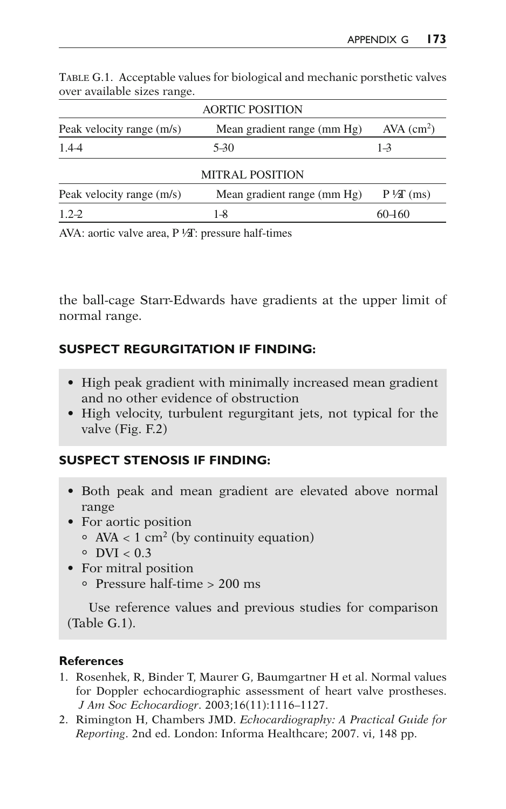|                           | <b>AORTIC POSITION</b>      |                          |
|---------------------------|-----------------------------|--------------------------|
| Peak velocity range (m/s) | Mean gradient range (mm Hg) | $AVA$ (cm <sup>2</sup> ) |
| 1.4-4                     | 5-30                        | $1 - 3$                  |
|                           | <b>MITRAL POSITION</b>      |                          |
| Peak velocity range (m/s) | Mean gradient range (mm Hg) | $P\sqrt{2}$ (ms)         |
| $1.2 - 2$                 | $1 - 8$                     | 60-160                   |
|                           |                             |                          |

TABLE G.1. Acceptable values for biological and mechanic porsthetic valves over available sizes range.

AVA: aortic valve area,  $P\sqrt[1]{a}$ : pressure half-times

the ball-cage Starr-Edwards have gradients at the upper limit of normal range.

#### **SUSPECT REGURGITATION IF FINDING:**

- High peak gradient with minimally increased mean gradient and no other evidence of obstruction
- High velocity, turbulent regurgitant jets, not typical for the valve (Fig. F.2)

#### **SUSPECT STENOSIS IF FINDING:**

- Both peak and mean gradient are elevated above normal range
- For aortic position
	- $AVA < 1$  cm<sup>2</sup> (by continuity equation)
	- $\circ$  DVI < 0.3
- For mitral position
	- ° Pressure half-time > 200 ms

Use reference values and previous studies for comparison (Table G.1).

#### **References**

- 1. Rosenhek, R, Binder T, Maurer G, Baumgartner H et al. Normal values for Doppler echocardiographic assessment of heart valve prostheses . *J Am Soc Echocardiogr.* 2003;16(11):1116-1127.
- 2. Rimington H, Chambers JMD. *Echocardiography: A Practical Guide for Reporting*. 2nd ed. London: Informa Healthcare; 2007. vi, 148 pp.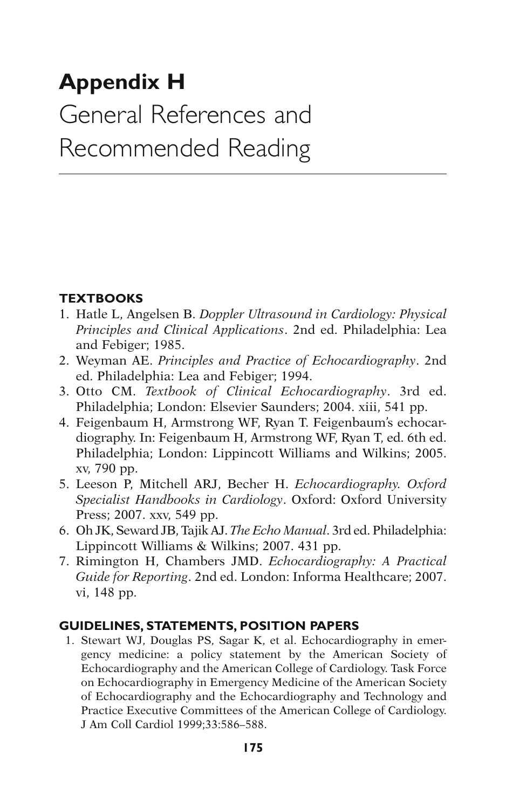# **Appendix H**  General References and Recommended Reading

# **TEXTBOOKS**

- 1. Hatle L, Angelsen B. *Doppler Ultrasound in Cardiology: Physical Principles and Clinical Applications*. 2nd ed. Philadelphia: Lea and Febiger; 1985.
- 2. Weyman AE. *Principles and Practice of Echocardiography*. 2nd ed. Philadelphia: Lea and Febiger; 1994.
- 3. Otto CM. *Textbook of Clinical Echocardiography*. 3rd ed. Philadelphia; London: Elsevier Saunders; 2004. xiii, 541 pp.
- 4. Feigenbaum H, Armstrong WF, Ryan T. Feigenbaum's echocardiography. In: Feigenbaum H, Armstrong WF, Ryan T, ed. 6th ed. Philadelphia; London: Lippincott Williams and Wilkins; 2005. xv, 790 pp.
- 5. Leeson P, Mitchell ARJ, Becher H. *Echocardiography. Oxford Specialist Handbooks in Cardiology*. Oxford: Oxford University Press; 2007. xxv, 549 pp.
- 6. Oh JK, Seward JB, Tajik AJ. *The Echo Manual*. 3rd ed. Philadelphia: Lippincott Williams & Wilkins; 2007. 431 pp.
- 7. Rimington H, Chambers JMD. *Echocardiography: A Practical Guide for Reporting*. 2nd ed. London: Informa Healthcare; 2007. vi, 148 pp.

# **GUIDELINES, STATEMENTS, POSITION PAPERS**

 1. Stewart WJ, Douglas PS, Sagar K, et al. Echocardiography in emergency medicine: a policy statement by the American Society of Echocardiography and the American College of Cardiology. Task Force on Echocardiography in Emergency Medicine of the American Society of Echocardiography and the Echocardiography and Technology and Practice Executive Committees of the American College of Cardiology. J Am Coll Cardiol 1999;33:586–588.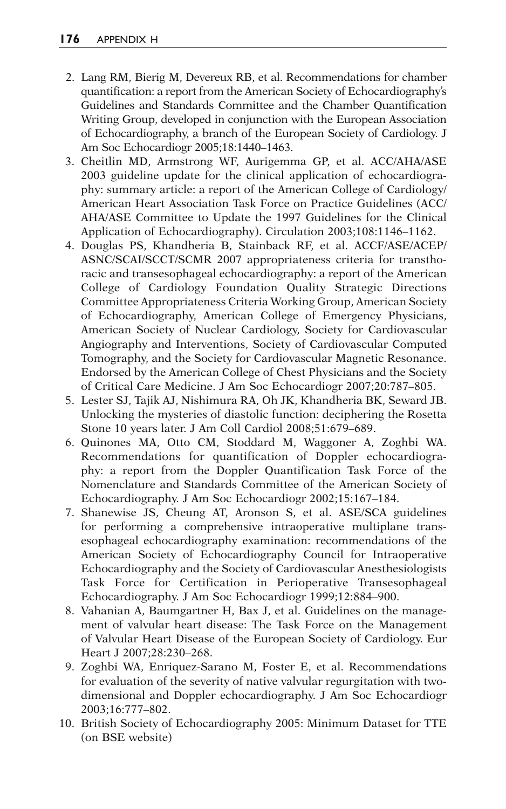- 2. Lang RM, Bierig M, Devereux RB, et al. Recommendations for chamber quantification: a report from the American Society of Echocardiography's Guidelines and Standards Committee and the Chamber Quantification Writing Group, developed in conjunction with the European Association of Echocardiography, a branch of the European Society of Cardiology. J Am Soc Echocardiogr 2005;18:1440–1463.
- 3. Cheitlin MD, Armstrong WF, Aurigemma GP, et al. ACC/AHA/ASE 2003 guideline update for the clinical application of echocardiography: summary article: a report of the American College of Cardiology/ American Heart Association Task Force on Practice Guidelines (ACC/ AHA/ASE Committee to Update the 1997 Guidelines for the Clinical Application of Echocardiography). Circulation 2003;108:1146–1162.
- 4. Douglas PS, Khandheria B, Stainback RF, et al. ACCF/ASE/ACEP/ ASNC/SCAI/SCCT/SCMR 2007 appropriateness criteria for transthoracic and transesophageal echocardiography: a report of the American College of Cardiology Foundation Quality Strategic Directions Committee Appropriateness Criteria Working Group, American Society of Echocardiography, American College of Emergency Physicians, American Society of Nuclear Cardiology, Society for Cardiovascular Angiography and Interventions, Society of Cardiovascular Computed Tomography, and the Society for Cardiovascular Magnetic Resonance. Endorsed by the American College of Chest Physicians and the Society of Critical Care Medicine. J Am Soc Echocardiogr 2007;20:787–805.
- 5. Lester SJ, Tajik AJ, Nishimura RA, Oh JK, Khandheria BK, Seward JB. Unlocking the mysteries of diastolic function: deciphering the Rosetta Stone 10 years later. J Am Coll Cardiol 2008;51:679–689.
- 6. Quinones MA, Otto CM, Stoddard M, Waggoner A, Zoghbi WA. Recommendations for quantification of Doppler echocardiography: a report from the Doppler Quantification Task Force of the Nomenclature and Standards Committee of the American Society of Echocardiography. J Am Soc Echocardiogr 2002;15:167–184.
- 7. Shanewise JS, Cheung AT, Aronson S, et al. ASE/SCA guidelines for performing a comprehensive intraoperative multiplane transesophageal echocardiography examination: recommendations of the American Society of Echocardiography Council for Intraoperative Echocardiography and the Society of Cardiovascular Anesthesiologists Task Force for Certification in Perioperative Transesophageal Echocardiography. J Am Soc Echocardiogr 1999;12:884–900.
- 8. Vahanian A, Baumgartner H, Bax J, et al. Guidelines on the management of valvular heart disease: The Task Force on the Management of Valvular Heart Disease of the European Society of Cardiology. Eur Heart J 2007;28:230–268.
- 9. Zoghbi WA, Enriquez-Sarano M, Foster E, et al. Recommendations for evaluation of the severity of native valvular regurgitation with twodimensional and Doppler echocardiography. J Am Soc Echocardiogr 2003;16:777–802.
- 10. British Society of Echocardiography 2005: Minimum Dataset for TTE (on BSE website)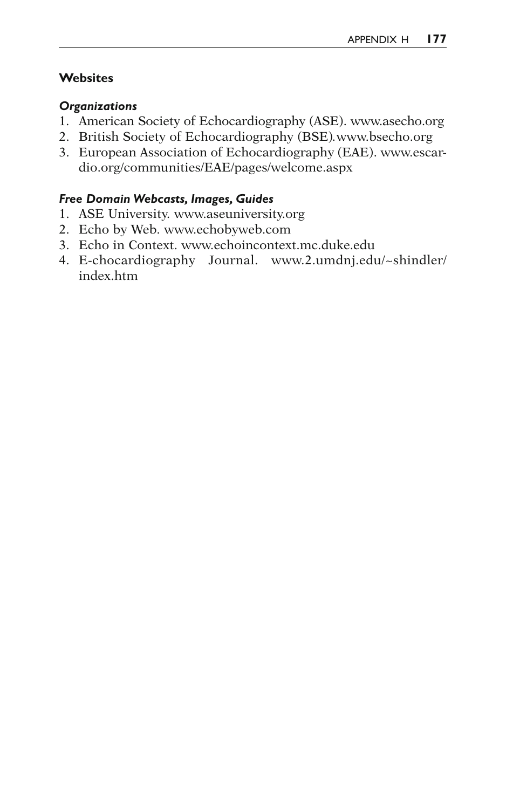### **Websites**

#### *Organizations*

- 1. American Society of Echocardiography (ASE). www.asecho.org
- 2. British Society of Echocardiography (BSE) *.*www.bsecho.org
- 3. European Association of Echocardiography (EAE). www.escardio.org/communities/EAE/pages/welcome.aspx

#### *Free Domain Webcasts, Images, Guides*

- 1. ASE University. www.aseuniversity.org
- 2. Echo by Web. www.echobyweb.com
- 3. Echo in Context. www.echoincontext.mc.duke.edu
- 4. E-chocardiography Journal. www.2.umdnj.edu/~ shindler/ index.htm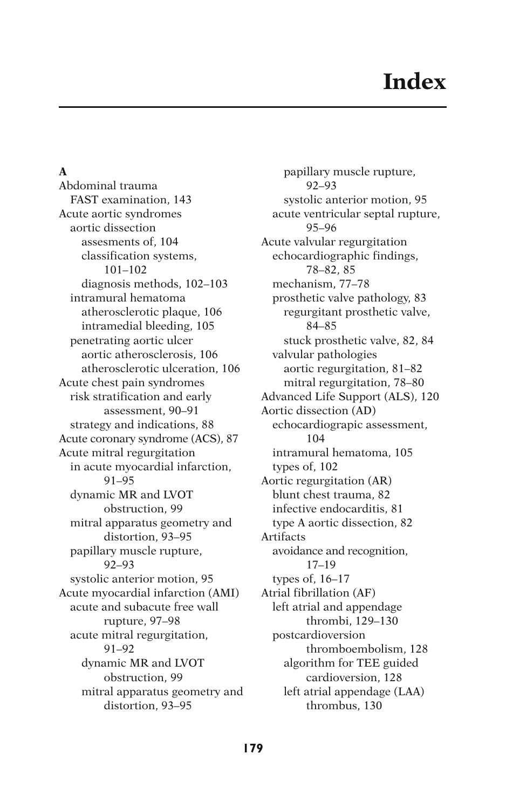#### **A**

Abdominal trauma FAST examination, 143 Acute aortic syndromes aortic dissection assesments of, 104 classification systems, 101–102 diagnosis methods, 102–103 intramural hematoma atherosclerotic plaque, 106 intramedial bleeding, 105 penetrating aortic ulcer aortic atherosclerosis, 106 atherosclerotic ulceration, 106 Acute chest pain syndromes risk stratification and early assessment, 90–91 strategy and indications, 88 Acute coronary syndrome (ACS), 87 Acute mitral regurgitation in acute myocardial infarction, 91–95 dynamic MR and LVOT obstruction, 99 mitral apparatus geometry and distortion, 93–95 papillary muscle rupture, 92–93 systolic anterior motion, 95 Acute myocardial infarction (AMI) acute and subacute free wall rupture, 97–98 acute mitral regurgitation, 91–92 dynamic MR and LVOT obstruction, 99 mitral apparatus geometry and distortion, 93–95

papillary muscle rupture, 92–93 systolic anterior motion, 95 acute ventricular septal rupture, 95–96 Acute valvular regurgitation echocardiographic findings, 78–82, 85 mechanism, 77–78 prosthetic valve pathology, 83 regurgitant prosthetic valve, 84–85 stuck prosthetic valve, 82, 84 valvular pathologies aortic regurgitation, 81–82 mitral regurgitation, 78–80 Advanced Life Support (ALS), 120 Aortic dissection (AD) echocardiograpic assessment, 104 intramural hematoma, 105 types of, 102 Aortic regurgitation (AR) blunt chest trauma, 82 infective endocarditis, 81 type A aortic dissection, 82 Artifacts avoidance and recognition, 17–19 types of, 16–17 Atrial fibrillation (AF) left atrial and appendage thrombi, 129–130 postcardioversion thromboembolism, 128 algorithm for TEE guided cardioversion, 128 left atrial appendage (LAA) thrombus, 130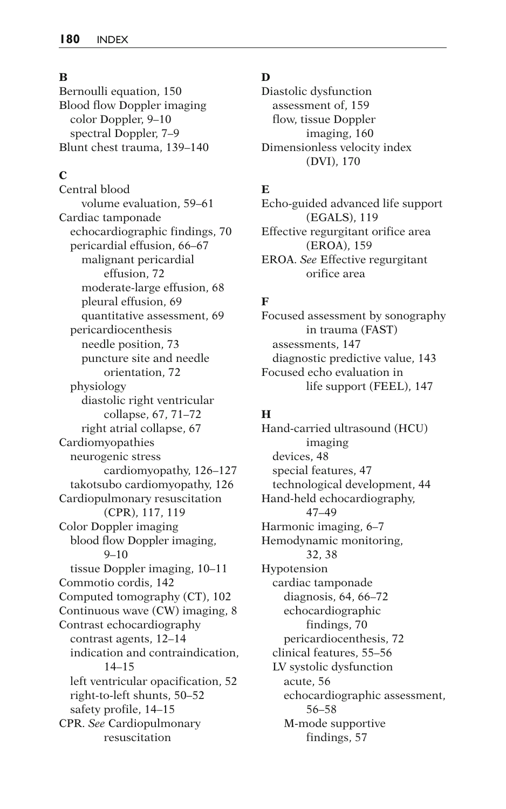#### **B**

Bernoulli equation, 150 Blood flow Doppler imaging color Doppler, 9–10 spectral Doppler, 7–9 Blunt chest trauma, 139–140

#### **C**

Central blood volume evaluation, 59–61 Cardiac tamponade echocardiographic findings, 70 pericardial effusion, 66–67 malignant pericardial effusion, 72 moderate-large effusion, 68 pleural effusion, 69 quantitative assessment, 69 pericardiocenthesis needle position, 73 puncture site and needle orientation, 72 physiology diastolic right ventricular collapse, 67, 71–72 right atrial collapse, 67 Cardiomyopathies neurogenic stress cardiomyopathy, 126–127 takotsubo cardiomyopathy, 126 Cardiopulmonary resuscitation (CPR), 117, 119 Color Doppler imaging blood flow Doppler imaging,  $9 - 10$ tissue Doppler imaging, 10–11 Commotio cordis, 142 Computed tomography (CT), 102 Continuous wave (CW) imaging, 8 Contrast echocardiography contrast agents, 12–14 indication and contraindication, 14–15 left ventricular opacification, 52 right-to-left shunts, 50–52 safety profile, 14–15 CPR. *See* Cardiopulmonary resuscitation

#### **D**

Diastolic dysfunction assessment of, 159 flow, tissue Doppler imaging, 160 Dimensionless velocity index (DVI), 170

#### **E**

Echo-guided advanced life support (EGALS), 119 Effective regurgitant orifice area (EROA), 159 EROA. *See* Effective regurgitant orifice area

### **F**

Focused assessment by sonography in trauma (FAST) assessments, 147 diagnostic predictive value, 143 Focused echo evaluation in life support (FEEL), 147

#### **H**

Hand-carried ultrasound (HCU) imaging devices, 48 special features, 47 technological development, 44 Hand-held echocardiography, 47–49 Harmonic imaging, 6–7 Hemodynamic monitoring, 32, 38 Hypotension cardiac tamponade diagnosis, 64, 66–72 echocardiographic findings, 70 pericardiocenthesis, 72 clinical features, 55–56 LV systolic dysfunction acute, 56 echocardiographic assessment, 56–58 M-mode supportive findings, 57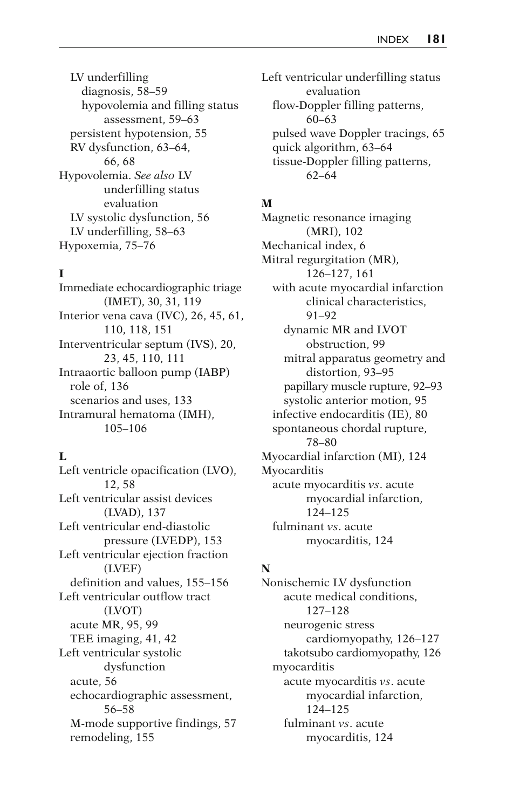LV underfilling diagnosis, 58–59 hypovolemia and filling status assessment, 59–63 persistent hypotension, 55 RV dysfunction, 63–64, 66, 68 Hypovolemia. *See also* LV underfilling status evaluation LV systolic dysfunction, 56 LV underfilling, 58–63 Hypoxemia, 75–76

# **I**

Immediate echocardiographic triage (IMET), 30, 31, 119 Interior vena cava (IVC), 26, 45, 61, 110, 118, 151 Interventricular septum (IVS), 20, 23, 45, 110, 111 Intraaortic balloon pump (IABP) role of, 136 scenarios and uses, 133 Intramural hematoma (IMH), 105–106

#### **L**

Left ventricle opacification (LVO), 12, 58 Left ventricular assist devices (LVAD), 137 Left ventricular end-diastolic pressure (LVEDP), 153 Left ventricular ejection fraction (LVEF) definition and values, 155–156 Left ventricular outflow tract (LVOT) acute MR, 95, 99 TEE imaging, 41, 42 Left ventricular systolic dysfunction acute, 56 echocardiographic assessment, 56–58 M-mode supportive findings, 57 remodeling, 155

Left ventricular underfilling status evaluation flow-Doppler filling patterns, 60–63 pulsed wave Doppler tracings, 65 quick algorithm, 63–64 tissue-Doppler filling patterns, 62–64

# **M**

Magnetic resonance imaging (MRI), 102 Mechanical index, 6 Mitral regurgitation (MR), 126–127, 161 with acute myocardial infarction clinical characteristics, 91–92 dynamic MR and LVOT obstruction, 99 mitral apparatus geometry and distortion, 93–95 papillary muscle rupture, 92–93 systolic anterior motion, 95 infective endocarditis (IE), 80 spontaneous chordal rupture, 78–80 Myocardial infarction (MI), 124 Myocarditis acute myocarditis *vs*. acute myocardial infarction, 124–125 fulminant *vs*. acute myocarditis, 124

# **N**

Nonischemic LV dysfunction acute medical conditions, 127–128 neurogenic stress cardiomyopathy, 126–127 takotsubo cardiomyopathy, 126 myocarditis acute myocarditis *vs*. acute myocardial infarction, 124–125 fulminant *vs*. acute myocarditis, 124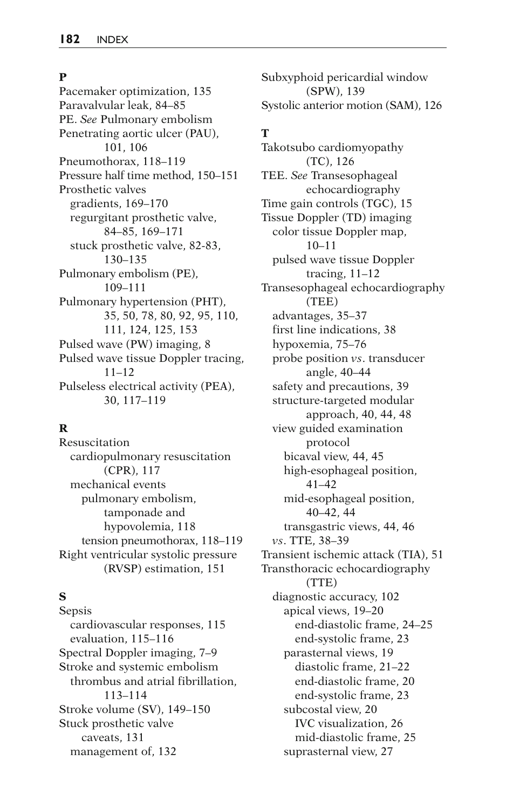#### **P**

Pacemaker optimization, 135 Paravalvular leak, 84–85 PE. *See* Pulmonary embolism Penetrating aortic ulcer (PAU), 101, 106 Pneumothorax, 118–119 Pressure half time method, 150–151 Prosthetic valves gradients, 169–170 regurgitant prosthetic valve, 84–85, 169–171 stuck prosthetic valve, 82-83, 130–135 Pulmonary embolism (PE), 109–111 Pulmonary hypertension (PHT), 35, 50, 78, 80, 92, 95, 110, 111, 124, 125, 153 Pulsed wave (PW) imaging, 8 Pulsed wave tissue Doppler tracing, 11–12 Pulseless electrical activity (PEA), 30, 117–119

#### **R**

Resuscitation cardiopulmonary resuscitation (CPR), 117 mechanical events pulmonary embolism, tamponade and hypovolemia, 118 tension pneumothorax, 118–119 Right ventricular systolic pressure (RVSP) estimation, 151

# **S**

Sepsis cardiovascular responses, 115 evaluation, 115–116 Spectral Doppler imaging, 7–9 Stroke and systemic embolism thrombus and atrial fibrillation, 113–114 Stroke volume (SV), 149–150 Stuck prosthetic valve caveats, 131 management of, 132

Subxyphoid pericardial window (SPW), 139 Systolic anterior motion (SAM), 126

### **T**

Takotsubo cardiomyopathy (TC), 126 TEE. *See* Transesophageal echocardiography Time gain controls (TGC), 15 Tissue Doppler (TD) imaging color tissue Doppler map, 10–11 pulsed wave tissue Doppler tracing, 11–12 Transesophageal echocardiography (TEE) advantages, 35–37 first line indications, 38 hypoxemia, 75–76 probe position *vs*. transducer angle, 40–44 safety and precautions, 39 structure-targeted modular approach, 40, 44, 48 view guided examination protocol bicaval view, 44, 45 high-esophageal position, 41–42 mid-esophageal position, 40–42, 44 transgastric views, 44, 46 *vs*. TTE, 38–39 Transient ischemic attack (TIA), 51 Transthoracic echocardiography (TTE) diagnostic accuracy, 102 apical views, 19–20 end-diastolic frame, 24–25 end-systolic frame, 23 parasternal views, 19 diastolic frame, 21–22 end-diastolic frame, 20 end-systolic frame, 23 subcostal view, 20 IVC visualization, 26 mid-diastolic frame, 25 suprasternal view, 27